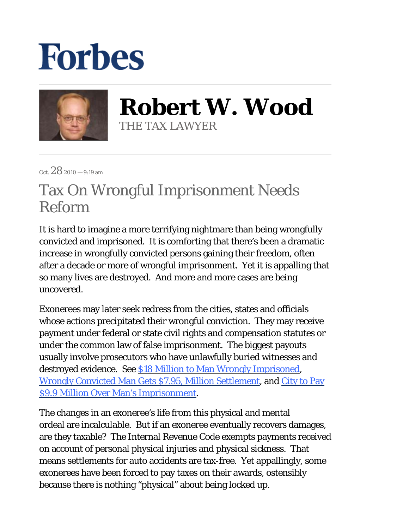## **Forbes**



**Robert W. Wood** THE TAX LAWYER

Oct.  $28$  2010 – 9:19 am

## Tax On Wrongful Imprisonment Needs Reform

It is hard to imagine a more terrifying nightmare than being wrongfully convicted and imprisoned. It is comforting that there's been a dramatic increase in wrongfully convicted persons gaining their freedom, often after a decade or more of wrongful imprisonment. Yet it is appalling that so many lives are destroyed. And more and more cases are being uncovered.

Exonerees may later seek redress from the cities, states and officials whose actions precipitated their wrongful conviction. They may receive payment under federal or state civil rights and compensation statutes or under the common law of false imprisonment. The biggest payouts usually involve prosecutors who have unlawfully buried witnesses and destroyed evidence. See \$18 Million to Man Wrongly Imprisoned, Wrongly Convicted Man Gets \$7.95, Million Settlement, and City to Pay \$9.9 Million Over Man's Imprisonment.

The changes in an exoneree's life from this physical and mental ordeal are incalculable. But if an exoneree eventually recovers damages, are they taxable? The Internal Revenue Code exempts payments received on account of personal physical injuries and physical sickness. That means settlements for auto accidents are tax-free. Yet appallingly, some exonerees have been forced to pay taxes on their awards, ostensibly because there is nothing "physical" about being locked up.